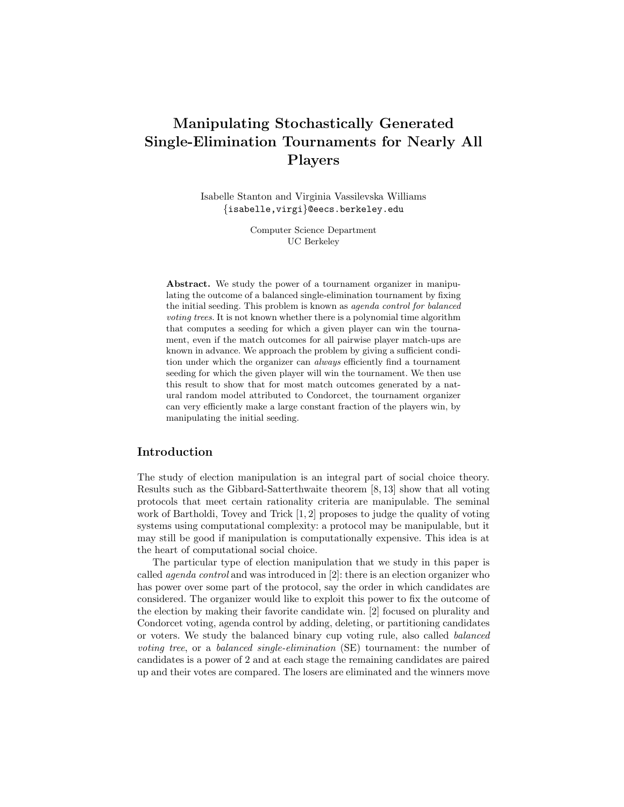# Manipulating Stochastically Generated Single-Elimination Tournaments for Nearly All Players

Isabelle Stanton and Virginia Vassilevska Williams {isabelle,virgi}@eecs.berkeley.edu

> Computer Science Department UC Berkeley

Abstract. We study the power of a tournament organizer in manipulating the outcome of a balanced single-elimination tournament by fixing the initial seeding. This problem is known as agenda control for balanced voting trees. It is not known whether there is a polynomial time algorithm that computes a seeding for which a given player can win the tournament, even if the match outcomes for all pairwise player match-ups are known in advance. We approach the problem by giving a sufficient condition under which the organizer can always efficiently find a tournament seeding for which the given player will win the tournament. We then use this result to show that for most match outcomes generated by a natural random model attributed to Condorcet, the tournament organizer can very efficiently make a large constant fraction of the players win, by manipulating the initial seeding.

# Introduction

The study of election manipulation is an integral part of social choice theory. Results such as the Gibbard-Satterthwaite theorem [8, 13] show that all voting protocols that meet certain rationality criteria are manipulable. The seminal work of Bartholdi, Tovey and Trick [1, 2] proposes to judge the quality of voting systems using computational complexity: a protocol may be manipulable, but it may still be good if manipulation is computationally expensive. This idea is at the heart of computational social choice.

The particular type of election manipulation that we study in this paper is called agenda control and was introduced in [2]: there is an election organizer who has power over some part of the protocol, say the order in which candidates are considered. The organizer would like to exploit this power to fix the outcome of the election by making their favorite candidate win. [2] focused on plurality and Condorcet voting, agenda control by adding, deleting, or partitioning candidates or voters. We study the balanced binary cup voting rule, also called balanced voting tree, or a balanced single-elimination (SE) tournament: the number of candidates is a power of 2 and at each stage the remaining candidates are paired up and their votes are compared. The losers are eliminated and the winners move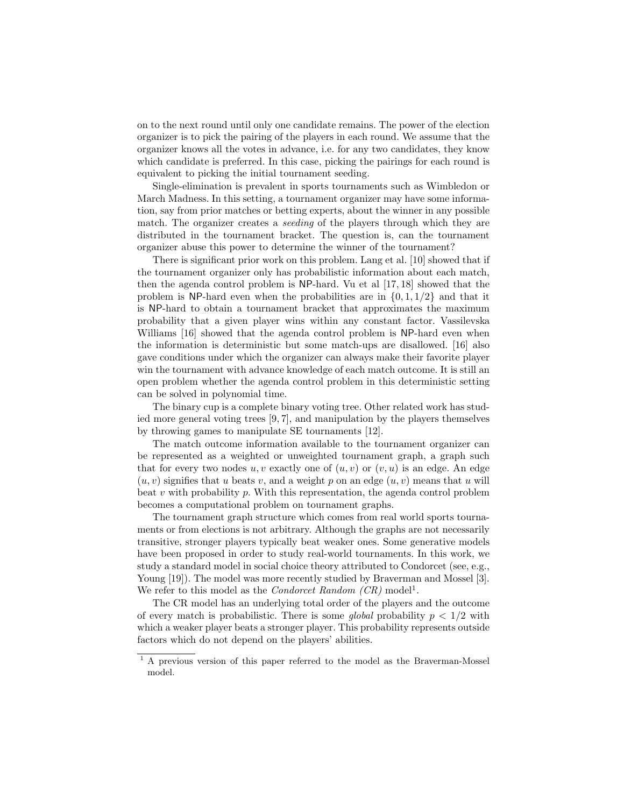on to the next round until only one candidate remains. The power of the election organizer is to pick the pairing of the players in each round. We assume that the organizer knows all the votes in advance, i.e. for any two candidates, they know which candidate is preferred. In this case, picking the pairings for each round is equivalent to picking the initial tournament seeding.

Single-elimination is prevalent in sports tournaments such as Wimbledon or March Madness. In this setting, a tournament organizer may have some information, say from prior matches or betting experts, about the winner in any possible match. The organizer creates a *seeding* of the players through which they are distributed in the tournament bracket. The question is, can the tournament organizer abuse this power to determine the winner of the tournament?

There is significant prior work on this problem. Lang et al. [10] showed that if the tournament organizer only has probabilistic information about each match, then the agenda control problem is NP-hard. Vu et al [17, 18] showed that the problem is NP-hard even when the probabilities are in  $\{0, 1, 1/2\}$  and that it is NP-hard to obtain a tournament bracket that approximates the maximum probability that a given player wins within any constant factor. Vassilevska Williams [16] showed that the agenda control problem is NP-hard even when the information is deterministic but some match-ups are disallowed. [16] also gave conditions under which the organizer can always make their favorite player win the tournament with advance knowledge of each match outcome. It is still an open problem whether the agenda control problem in this deterministic setting can be solved in polynomial time.

The binary cup is a complete binary voting tree. Other related work has studied more general voting trees [9, 7], and manipulation by the players themselves by throwing games to manipulate SE tournaments [12].

The match outcome information available to the tournament organizer can be represented as a weighted or unweighted tournament graph, a graph such that for every two nodes u, v exactly one of  $(u, v)$  or  $(v, u)$  is an edge. An edge  $(u, v)$  signifies that u beats v, and a weight p on an edge  $(u, v)$  means that u will beat  $v$  with probability  $p$ . With this representation, the agenda control problem becomes a computational problem on tournament graphs.

The tournament graph structure which comes from real world sports tournaments or from elections is not arbitrary. Although the graphs are not necessarily transitive, stronger players typically beat weaker ones. Some generative models have been proposed in order to study real-world tournaments. In this work, we study a standard model in social choice theory attributed to Condorcet (see, e.g., Young [19]). The model was more recently studied by Braverman and Mossel [3]. We refer to this model as the *Condorcet Random*  $(CR)$  model<sup>1</sup>.

The CR model has an underlying total order of the players and the outcome of every match is probabilistic. There is some *global* probability  $p < 1/2$  with which a weaker player beats a stronger player. This probability represents outside factors which do not depend on the players' abilities.

<sup>1</sup> A previous version of this paper referred to the model as the Braverman-Mossel model.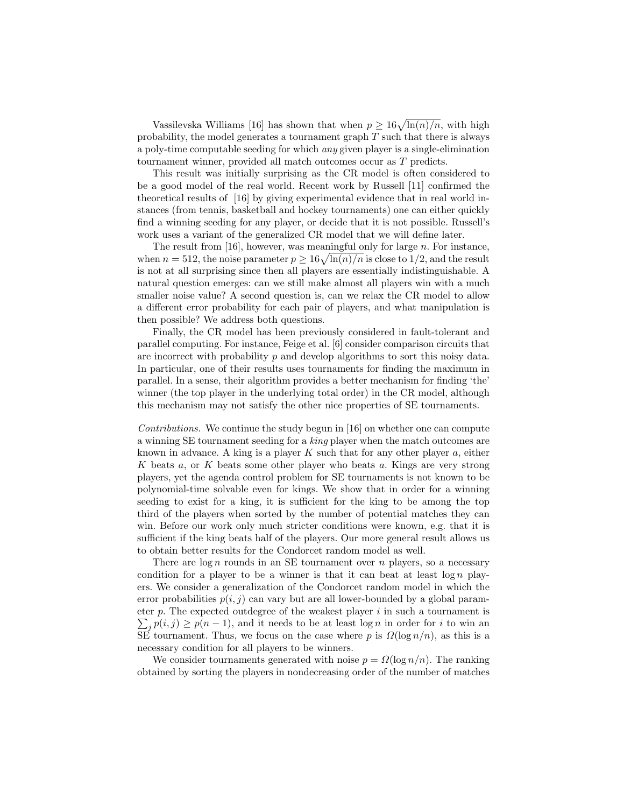Vassilevska Williams [16] has shown that when  $p \ge 16\sqrt{\ln(n)/n}$ , with high probability, the model generates a tournament graph  $T$  such that there is always a poly-time computable seeding for which any given player is a single-elimination tournament winner, provided all match outcomes occur as T predicts.

This result was initially surprising as the CR model is often considered to be a good model of the real world. Recent work by Russell [11] confirmed the theoretical results of [16] by giving experimental evidence that in real world instances (from tennis, basketball and hockey tournaments) one can either quickly find a winning seeding for any player, or decide that it is not possible. Russell's work uses a variant of the generalized CR model that we will define later.

The result from  $[16]$ , however, was meaningful only for large n. For instance, when  $n = 512$ , the noise parameter  $p \ge 16\sqrt{\ln(n)/n}$  is close to 1/2, and the result is not at all surprising since then all players are essentially indistinguishable. A natural question emerges: can we still make almost all players win with a much smaller noise value? A second question is, can we relax the CR model to allow a different error probability for each pair of players, and what manipulation is then possible? We address both questions.

Finally, the CR model has been previously considered in fault-tolerant and parallel computing. For instance, Feige et al. [6] consider comparison circuits that are incorrect with probability  $p$  and develop algorithms to sort this noisy data. In particular, one of their results uses tournaments for finding the maximum in parallel. In a sense, their algorithm provides a better mechanism for finding 'the' winner (the top player in the underlying total order) in the CR model, although this mechanism may not satisfy the other nice properties of SE tournaments.

Contributions. We continue the study begun in [16] on whether one can compute a winning SE tournament seeding for a king player when the match outcomes are known in advance. A king is a player  $K$  such that for any other player  $a$ , either K beats a, or K beats some other player who beats a. Kings are very strong players, yet the agenda control problem for SE tournaments is not known to be polynomial-time solvable even for kings. We show that in order for a winning seeding to exist for a king, it is sufficient for the king to be among the top third of the players when sorted by the number of potential matches they can win. Before our work only much stricter conditions were known, e.g. that it is sufficient if the king beats half of the players. Our more general result allows us to obtain better results for the Condorcet random model as well.

There are  $\log n$  rounds in an SE tournament over n players, so a necessary condition for a player to be a winner is that it can beat at least  $\log n$  players. We consider a generalization of the Condorcet random model in which the error probabilities  $p(i, j)$  can vary but are all lower-bounded by a global param- $\sum_j p(i,j) \ge p(n-1)$ , and it needs to be at least log *n* in order for *i* to win an eter  $p$ . The expected outdegree of the weakest player  $i$  in such a tournament is SE tournament. Thus, we focus on the case where p is  $\Omega(\log n/n)$ , as this is a necessary condition for all players to be winners.

We consider tournaments generated with noise  $p = \Omega(\log n/n)$ . The ranking obtained by sorting the players in nondecreasing order of the number of matches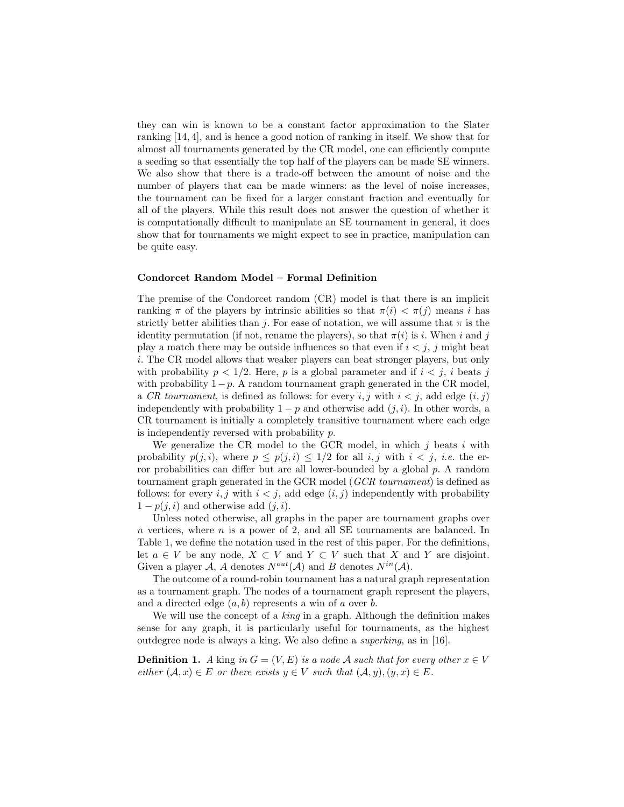they can win is known to be a constant factor approximation to the Slater ranking [14, 4], and is hence a good notion of ranking in itself. We show that for almost all tournaments generated by the CR model, one can efficiently compute a seeding so that essentially the top half of the players can be made SE winners. We also show that there is a trade-off between the amount of noise and the number of players that can be made winners: as the level of noise increases, the tournament can be fixed for a larger constant fraction and eventually for all of the players. While this result does not answer the question of whether it is computationally difficult to manipulate an SE tournament in general, it does show that for tournaments we might expect to see in practice, manipulation can be quite easy.

### Condorcet Random Model – Formal Definition

The premise of the Condorcet random (CR) model is that there is an implicit ranking  $\pi$  of the players by intrinsic abilities so that  $\pi(i) < \pi(j)$  means i has strictly better abilities than j. For ease of notation, we will assume that  $\pi$  is the identity permutation (if not, rename the players), so that  $\pi(i)$  is i. When i and j play a match there may be outside influences so that even if  $i < j$ , j might beat i. The CR model allows that weaker players can beat stronger players, but only with probability  $p < 1/2$ . Here, p is a global parameter and if  $i < j$ , i beats j with probability  $1-p$ . A random tournament graph generated in the CR model, a CR tournament, is defined as follows: for every  $i, j$  with  $i < j$ , add edge  $(i, j)$ independently with probability  $1 - p$  and otherwise add  $(j, i)$ . In other words, a CR tournament is initially a completely transitive tournament where each edge is independently reversed with probability p.

We generalize the CR model to the GCR model, in which  $j$  beats  $i$  with probability  $p(j, i)$ , where  $p \leq p(j, i) \leq 1/2$  for all  $i, j$  with  $i < j$ , *i.e.* the error probabilities can differ but are all lower-bounded by a global p. A random tournament graph generated in the GCR model (GCR tournament) is defined as follows: for every i, j with  $i < j$ , add edge  $(i, j)$  independently with probability  $1 - p(j, i)$  and otherwise add  $(j, i)$ .

Unless noted otherwise, all graphs in the paper are tournament graphs over  $n$  vertices, where  $n$  is a power of 2, and all SE tournaments are balanced. In Table 1, we define the notation used in the rest of this paper. For the definitions, let  $a \in V$  be any node,  $X \subset V$  and  $Y \subset V$  such that X and Y are disjoint. Given a player A, A denotes  $N^{out}(\mathcal{A})$  and B denotes  $N^{in}(\mathcal{A})$ .

The outcome of a round-robin tournament has a natural graph representation as a tournament graph. The nodes of a tournament graph represent the players, and a directed edge  $(a, b)$  represents a win of a over b.

We will use the concept of a king in a graph. Although the definition makes sense for any graph, it is particularly useful for tournaments, as the highest outdegree node is always a king. We also define a superking, as in [16].

**Definition 1.** A king in  $G = (V, E)$  is a node A such that for every other  $x \in V$ either  $(A, x) \in E$  or there exists  $y \in V$  such that  $(A, y), (y, x) \in E$ .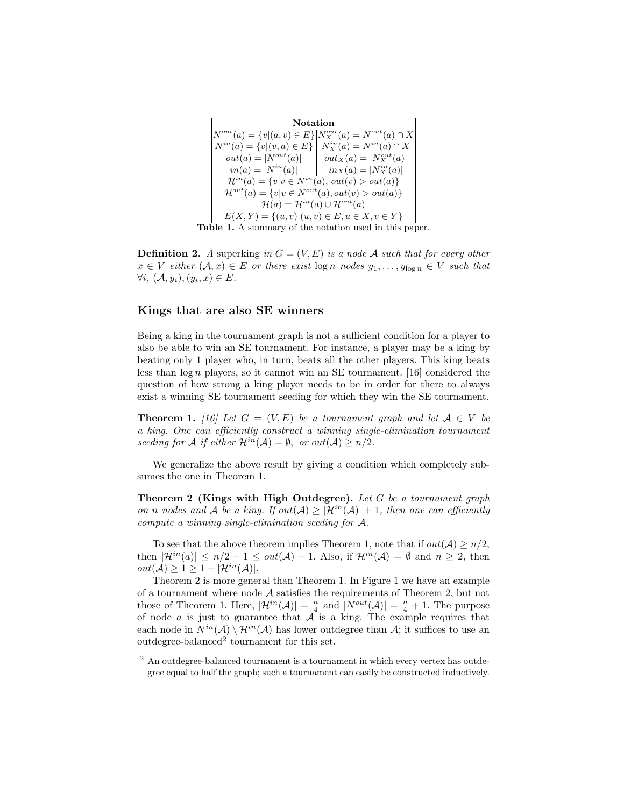| $N^{out}(a) = \{v   (a, v) \in E\}   N_X^{out}(a) = N^{out}(a) \cap X$<br>$N^{in}(a) = \{v   (v, a) \in E\}$ $\mid N_X^{in}(a) = N^{in}(a) \cap X$ |
|----------------------------------------------------------------------------------------------------------------------------------------------------|
|                                                                                                                                                    |
|                                                                                                                                                    |
| $out(a) =  N^{out}(a) $<br>$out_X(a) =  N_X^{out}(a) $                                                                                             |
| $in(a) =  N^{in}(a) $<br>$in_X(a) =  N_X^{in}(a) $                                                                                                 |
| $\mathcal{H}^{in}(a) = \{v v \in N^{in}(a), out(v) > out(a)\}\$                                                                                    |
| $\mathcal{H}^{out}(a) = \{v v \in N^{out}(a), out(v) > out(a)\}\$                                                                                  |
| $\overline{\mathcal{H}(a)} = \mathcal{H}^{in}(a) \cup \overline{\mathcal{H}}^{out}(a)$                                                             |
| $E(X, Y) = \{(u, v)   (u, v) \in E, u \in X, v \in Y\}$                                                                                            |

Table 1. A summary of the notation used in this paper.

**Definition 2.** A superking in  $G = (V, E)$  is a node A such that for every other  $x \in V$  either  $(A, x) \in E$  or there exist  $\log n$  nodes  $y_1, \ldots, y_{\log n} \in V$  such that  $\forall i, \, (\mathcal{A}, y_i), (y_i, x) \in E.$ 

# Kings that are also SE winners

Being a king in the tournament graph is not a sufficient condition for a player to also be able to win an SE tournament. For instance, a player may be a king by beating only 1 player who, in turn, beats all the other players. This king beats less than  $\log n$  players, so it cannot win an SE tournament. [16] considered the question of how strong a king player needs to be in order for there to always exist a winning SE tournament seeding for which they win the SE tournament.

**Theorem 1.** [16] Let  $G = (V, E)$  be a tournament graph and let  $A \in V$  be a king. One can efficiently construct a winning single-elimination tournament seeding for A if either  $\mathcal{H}^{in}(\mathcal{A}) = \emptyset$ , or  $out(\mathcal{A}) \geq n/2$ .

We generalize the above result by giving a condition which completely subsumes the one in Theorem 1.

Theorem 2 (Kings with High Outdegree). Let  $G$  be a tournament graph on n nodes and A be a king. If  $out(A) \geq |\mathcal{H}^{in}(A)| + 1$ , then one can efficiently compute a winning single-elimination seeding for A.

To see that the above theorem implies Theorem 1, note that if  $out(A) \ge n/2$ , then  $|\mathcal{H}^{in}(a)| \leq n/2 - 1 \leq out(\mathcal{A}) - 1$ . Also, if  $\mathcal{H}^{in}(\mathcal{A}) = \emptyset$  and  $n > 2$ , then  $out(\mathcal{A}) > 1 > 1 + |\mathcal{H}^{in}(\mathcal{A})|.$ 

Theorem 2 is more general than Theorem 1. In Figure 1 we have an example of a tournament where node  $A$  satisfies the requirements of Theorem 2, but not those of Theorem 1. Here,  $|\mathcal{H}^{in}(\mathcal{A})| = \frac{n}{4}$  and  $|N^{out}(\mathcal{A})| = \frac{n}{4} + 1$ . The purpose of node a is just to guarantee that  $A$  is a king. The example requires that each node in  $N^{in}(\mathcal{A}) \setminus \mathcal{H}^{in}(\mathcal{A})$  has lower outdegree than  $\mathcal{A}$ ; it suffices to use an outdegree-balanced<sup>2</sup> tournament for this set.

<sup>&</sup>lt;sup>2</sup> An outdegree-balanced tournament is a tournament in which every vertex has outdegree equal to half the graph; such a tournament can easily be constructed inductively.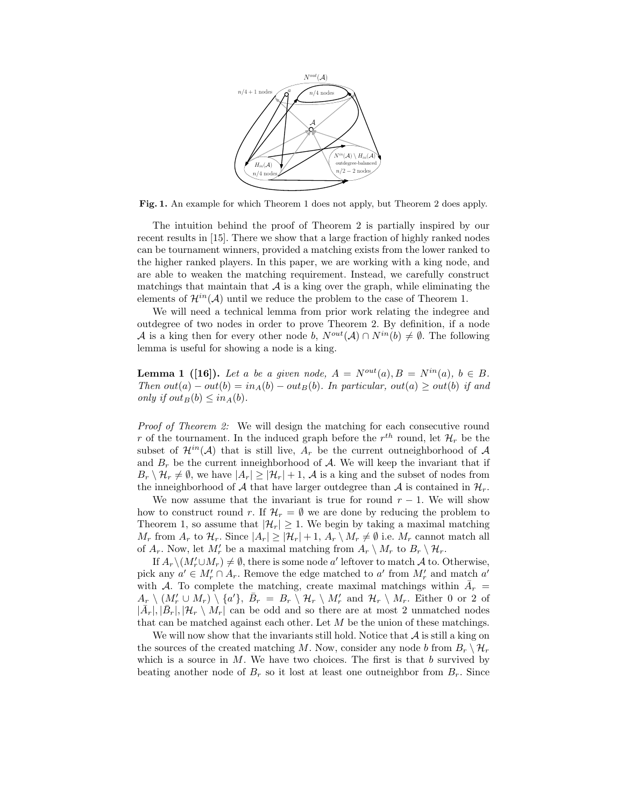

Fig. 1. An example for which Theorem 1 does not apply, but Theorem 2 does apply.

The intuition behind the proof of Theorem 2 is partially inspired by our recent results in [15]. There we show that a large fraction of highly ranked nodes can be tournament winners, provided a matching exists from the lower ranked to the higher ranked players. In this paper, we are working with a king node, and are able to weaken the matching requirement. Instead, we carefully construct matchings that maintain that  $A$  is a king over the graph, while eliminating the elements of  $\mathcal{H}^{in}(\mathcal{A})$  until we reduce the problem to the case of Theorem 1.

We will need a technical lemma from prior work relating the indegree and outdegree of two nodes in order to prove Theorem 2. By definition, if a node A is a king then for every other node b,  $N^{out}(\mathcal{A}) \cap N^{in}(b) \neq \emptyset$ . The following lemma is useful for showing a node is a king.

**Lemma 1** ([16]). Let a be a given node,  $A = N^{out}(a), B = N^{in}(a), b \in B$ . Then  $out(a) - out(b) = in_A(b) - out_B(b)$ . In particular,  $out(a) \ge out(b)$  if and only if  $out_B(b) \leq in_A(b)$ .

Proof of Theorem 2: We will design the matching for each consecutive round r of the tournament. In the induced graph before the  $r^{th}$  round, let  $\mathcal{H}_r$  be the subset of  $\mathcal{H}^{in}(\mathcal{A})$  that is still live,  $A_r$  be the current outneighborhood of  $\mathcal{A}$ and  $B_r$  be the current inneighborhood of A. We will keep the invariant that if  $B_r \setminus \mathcal{H}_r \neq \emptyset$ , we have  $|A_r| \geq |\mathcal{H}_r| + 1$ , A is a king and the subset of nodes from the inneighborhood of A that have larger outdegree than A is contained in  $\mathcal{H}_r$ .

We now assume that the invariant is true for round  $r - 1$ . We will show how to construct round r. If  $\mathcal{H}_r = \emptyset$  we are done by reducing the problem to Theorem 1, so assume that  $|\mathcal{H}_r| \geq 1$ . We begin by taking a maximal matching  $M_r$  from  $A_r$  to  $\mathcal{H}_r$ . Since  $|A_r| \geq |\mathcal{H}_r| + 1$ ,  $A_r \setminus M_r \neq \emptyset$  i.e.  $M_r$  cannot match all of  $A_r$ . Now, let  $M'_r$  be a maximal matching from  $A_r \setminus M_r$  to  $B_r \setminus \mathcal{H}_r$ .

If  $A_r \setminus (M'_r \cup M_r) \neq \emptyset$ , there is some node a' leftover to match A to. Otherwise, pick any  $a' \in M'_r \cap A_r$ . Remove the edge matched to a' from  $M'_r$  and match a' with A. To complete the matching, create maximal matchings within  $\bar{A}_r =$  $A_r \setminus (M'_r \cup M_r) \setminus \{a'\}, \bar{B}_r = B_r \setminus \mathcal{H}_r \setminus M'_r$  and  $\mathcal{H}_r \setminus M_r$ . Either 0 or 2 of  $|\bar{A}_r|, |\bar{B}_r|, |\mathcal{H}_r \setminus M_r|$  can be odd and so there are at most 2 unmatched nodes that can be matched against each other. Let  $M$  be the union of these matchings.

We will now show that the invariants still hold. Notice that  $A$  is still a king on the sources of the created matching M. Now, consider any node b from  $B_r \setminus \mathcal{H}_r$ which is a source in  $M$ . We have two choices. The first is that  $b$  survived by beating another node of  $B_r$  so it lost at least one outneighbor from  $B_r$ . Since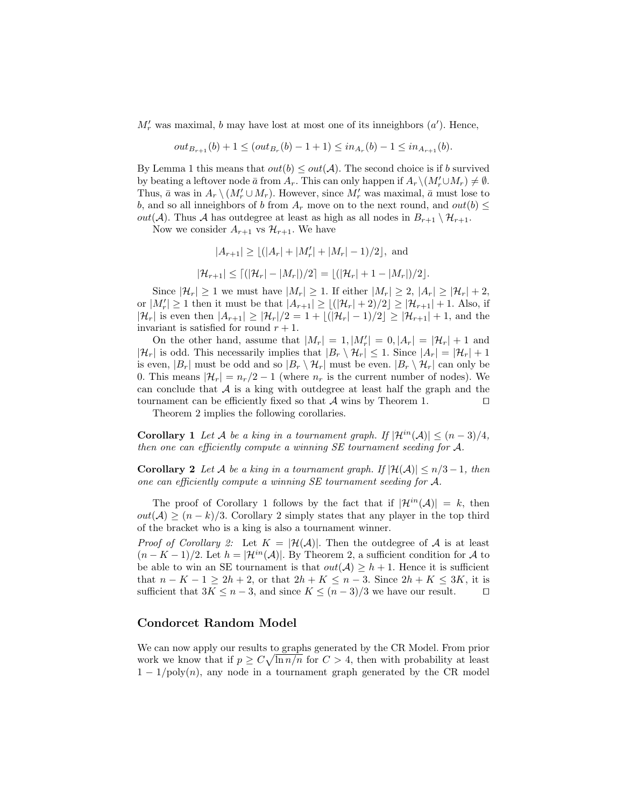$M'_r$  was maximal, b may have lost at most one of its inneighbors  $(a')$ . Hence,

$$
out_{B_{r+1}}(b) + 1 \le (out_{B_r}(b) - 1 + 1) \le in_{A_r}(b) - 1 \le in_{A_{r+1}}(b).
$$

By Lemma 1 this means that  $out(b) \le out(\mathcal{A})$ . The second choice is if b survived by beating a leftover node  $\bar{a}$  from  $A_r$ . This can only happen if  $A_r \setminus (M'_r \cup M_r) \neq \emptyset$ . Thus,  $\bar{a}$  was in  $A_r \setminus (M'_r \cup M_r)$ . However, since  $M'_r$  was maximal,  $\bar{a}$  must lose to b, and so all inneighbors of b from  $A_r$  move on to the next round, and  $out(b) \leq$ *out*(*A*). Thus *A* has outdegree at least as high as all nodes in  $B_{r+1} \setminus \mathcal{H}_{r+1}$ .

Now we consider  $A_{r+1}$  vs  $\mathcal{H}_{r+1}$ . We have

$$
|A_{r+1}| \geq \lfloor (|A_r| + |M'_r| + |M_r| - 1)/2 \rfloor
$$
, and  
 $|\mathcal{H}_{r+1}| \leq \lceil (|\mathcal{H}_r| - |M_r|)/2 \rceil = \lfloor (|\mathcal{H}_r| + 1 - |M_r|)/2 \rfloor$ .

Since  $|\mathcal{H}_r| \geq 1$  we must have  $|M_r| \geq 1$ . If either  $|M_r| \geq 2$ ,  $|A_r| \geq |\mathcal{H}_r| + 2$ , or  $|M'_r| \ge 1$  then it must be that  $|A_{r+1}| \ge \lfloor (|H_r| + 2)/2 \rfloor \ge |H_{r+1}| + 1$ . Also, if  $|\mathcal{H}_r|$  is even then  $|A_{r+1}| \geq |\mathcal{H}_r|/2 = 1 + \lfloor (|\mathcal{H}_r| - 1)/2 \rfloor \geq |\mathcal{H}_{r+1}| + 1$ , and the invariant is satisfied for round  $r + 1$ .

On the other hand, assume that  $|M_r| = 1, |M'_r| = 0, |A_r| = |\mathcal{H}_r| + 1$  and  $|\mathcal{H}_r|$  is odd. This necessarily implies that  $|B_r \setminus \mathcal{H}_r| \leq 1$ . Since  $|A_r| = |\mathcal{H}_r| + 1$ is even,  $|B_r|$  must be odd and so  $|B_r \setminus \mathcal{H}_r|$  must be even.  $|B_r \setminus \mathcal{H}_r|$  can only be 0. This means  $|\mathcal{H}_r| = n_r/2 - 1$  (where  $n_r$  is the current number of nodes). We can conclude that  $A$  is a king with outdegree at least half the graph and the tournament can be efficiently fixed so that  $A$  wins by Theorem 1. tournament can be efficiently fixed so that  $A$  wins by Theorem 1.

Theorem 2 implies the following corollaries.

**Corollary 1** Let A be a king in a tournament graph. If  $|\mathcal{H}^{in}(\mathcal{A})| \leq (n-3)/4$ , then one can efficiently compute a winning SE tournament seeding for A.

**Corollary 2** Let A be a king in a tournament graph. If  $|\mathcal{H}(\mathcal{A})| \leq n/3 - 1$ , then one can efficiently compute a winning SE tournament seeding for A.

The proof of Corollary 1 follows by the fact that if  $|\mathcal{H}^{in}(\mathcal{A})| = k$ , then  $out(\mathcal{A}) \geq (n-k)/3$ . Corollary 2 simply states that any player in the top third of the bracket who is a king is also a tournament winner.

*Proof of Corollary 2:* Let  $K = |\mathcal{H}(\mathcal{A})|$ . Then the outdegree of A is at least  $(n - K - 1)/2$ . Let  $h = |\mathcal{H}^{in}(\mathcal{A})|$ . By Theorem 2, a sufficient condition for A to be able to win an SE tournament is that  $out(\mathcal{A}) \geq h+1$ . Hence it is sufficient that  $n - K - 1 \geq 2h + 2$ , or that  $2h + K \leq n - 3$ . Since  $2h + K \leq 3K$ , it is sufficient that  $3K \leq n - 3$ , and since  $K \leq (n - 3)/3$  we have our result. sufficient that  $3K \leq n-3$ , and since  $K \leq (n-3)/3$  we have our result.

## Condorcet Random Model

We can now apply our results to graphs generated by the CR Model. From prior work we know that if  $p \ge C \sqrt{\ln n/n}$  for  $C > 4$ , then with probability at least  $1 - 1/\text{poly}(n)$ , any node in a tournament graph generated by the CR model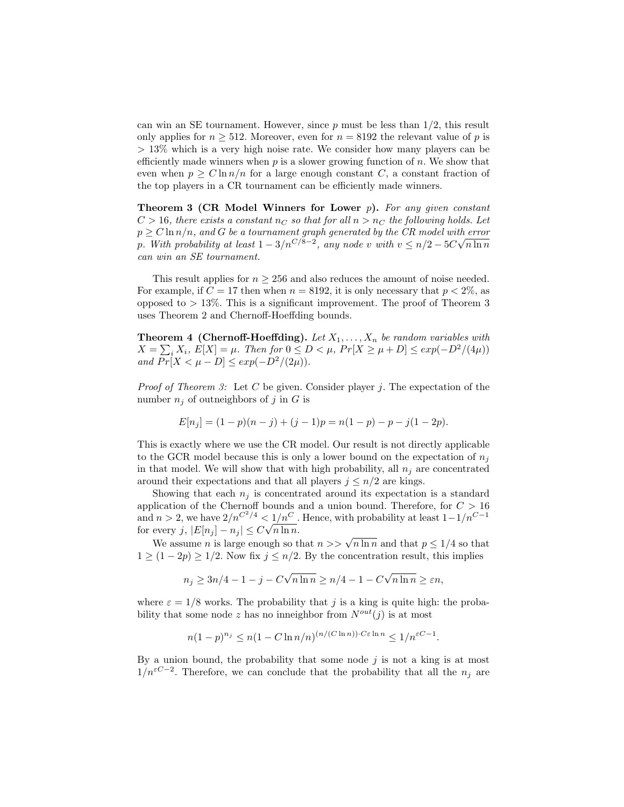can win an SE tournament. However, since  $p$  must be less than  $1/2$ , this result only applies for  $n \geq 512$ . Moreover, even for  $n = 8192$  the relevant value of p is > 13% which is a very high noise rate. We consider how many players can be efficiently made winners when  $p$  is a slower growing function of  $n$ . We show that even when  $p \geq C \ln n/n$  for a large enough constant C, a constant fraction of the top players in a CR tournament can be efficiently made winners.

**Theorem 3 (CR Model Winners for Lower p).** For any given constant  $C > 16$ , there exists a constant  $n_C$  so that for all  $n > n_C$  the following holds. Let  $p \geq C \ln n/n$ , and G be a tournament graph generated by the CR model with error p. With probability at least  $1 - 3/n^{C/8-2}$ , any node v with  $v \le n/2 - 5C\sqrt{n \ln n}$ can win an SE tournament.

This result applies for  $n \geq 256$  and also reduces the amount of noise needed. For example, if  $C = 17$  then when  $n = 8192$ , it is only necessary that  $p < 2\%$ , as opposed to  $> 13\%$ . This is a significant improvement. The proof of Theorem 3 uses Theorem 2 and Chernoff-Hoeffding bounds.

**Theorem 4 (Chernoff-Hoeffding).** Let  $X_1, \ldots, X_n$  be random variables with  $X = \sum_i X_i$ ,  $E[X] = \mu$ . Then for  $0 \le D < \mu$ ,  $Pr[X \ge \mu + D] \le exp(-D^2/(4\mu))$ and  $\overline{Pr}[X < \mu - D] \leq exp(-D^2/(2\mu)).$ 

*Proof of Theorem 3:* Let C be given. Consider player j. The expectation of the number  $n_i$  of outneighbors of j in G is

$$
E[n_j] = (1 - p)(n - j) + (j - 1)p = n(1 - p) - p - j(1 - 2p).
$$

This is exactly where we use the CR model. Our result is not directly applicable to the GCR model because this is only a lower bound on the expectation of  $n_j$ in that model. We will show that with high probability, all  $n_i$  are concentrated around their expectations and that all players  $j \leq n/2$  are kings.

Showing that each  $n_i$  is concentrated around its expectation is a standard application of the Chernoff bounds and a union bound. Therefore, for  $C > 16$ and  $n > 2$ , we have  $2/n^{C^2/4} < \frac{1/n^C}{n}$ . Hence, with probability at least  $1 - 1/n^{C-1}$ for every j,  $|E[n_j] - n_j| \le C\sqrt{n \ln n}$ .

We assume *n* is large enough so that  $n >> \sqrt{n \ln n}$  and that  $p \leq 1/4$  so that  $1 \ge (1 - 2p) \ge 1/2$ . Now fix  $j \le n/2$ . By the concentration result, this implies

$$
n_j \geq 3n/4 - 1 - j - C\sqrt{n \ln n} \geq n/4 - 1 - C\sqrt{n \ln n} \geq \varepsilon n,
$$

where  $\varepsilon = 1/8$  works. The probability that j is a king is quite high: the probability that some node z has no inneighbor from  $N^{out}(j)$  is at most

$$
n(1-p)^{n_j} \le n(1-C\ln n/n)^{(n/(C\ln n))\cdot C\varepsilon\ln n} \le 1/n^{\varepsilon C-1}.
$$

By a union bound, the probability that some node  $j$  is not a king is at most  $1/n^{\varepsilon C-2}$ . Therefore, we can conclude that the probability that all the  $n_j$  are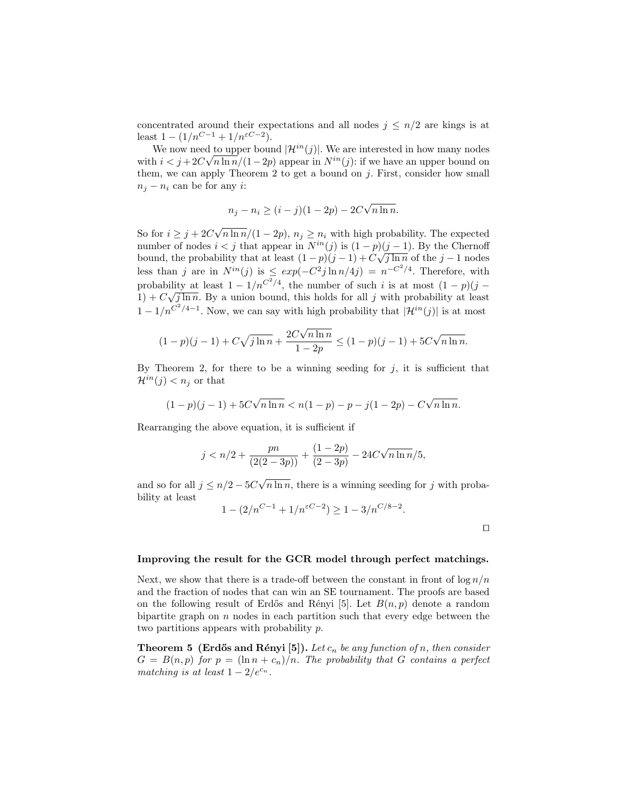concentrated around their expectations and all nodes  $j \leq n/2$  are kings is at least  $1 - (1/n^{C-1} + 1/n^{\varepsilon C-2}).$ 

We now need to upper bound  $|\mathcal{H}^{in}(j)|$ . We are interested in how many nodes with  $i < j + 2C\sqrt{n \ln n}/(1-2p)$  appear in  $N^{in}(j)$ : if we have an upper bound on them, we can apply Theorem 2 to get a bound on  $j$ . First, consider how small  $n_i - n_i$  can be for any *i*:

$$
n_j - n_i \ge (i - j)(1 - 2p) - 2C\sqrt{n \ln n}.
$$

So for  $i \geq j + 2C\sqrt{n \ln n}/(1-2p)$ ,  $n_j \geq n_i$  with high probability. The expected number of nodes  $i < j$  that appear in  $N^{in}(j)$  is  $(1 - p)(j - 1)$ . By the Chernoff bound, the probability that at least  $(1-p)(j-1) + C\sqrt{j \ln n}$  of the  $j-1$  nodes less than j are in  $N^{in}(j)$  is  $\leq exp(-C^2j\ln n/4j) = n^{-C^2/4}$ . Therefore, with probability at least  $1 - 1/n^{C^2/4}$ , the number of such i is at most  $(1 - p)(j 1) + C\sqrt{j \ln n}$ . By a union bound, this holds for all j with probability at least  $1 - 1/n^{C^2/4 - 1}$ . Now, we can say with high probability that  $|\mathcal{H}^{in}(j)|$  is at most

$$
(1-p)(j-1) + C\sqrt{j\ln n} + \frac{2C\sqrt{n\ln n}}{1-2p} \le (1-p)(j-1) + 5C\sqrt{n\ln n}.
$$

By Theorem 2, for there to be a winning seeding for  $i$ , it is sufficient that  $\mathcal{H}^{in}(j) < n_j$  or that

$$
(1-p)(j-1) + 5C\sqrt{n \ln n} < n(1-p) - p - j(1-2p) - C\sqrt{n \ln n}.
$$

Rearranging the above equation, it is sufficient if

$$
j < n/2 + \frac{pn}{(2(2-3p))} + \frac{(1-2p)}{(2-3p)} - 24C\sqrt{n\ln n}/5,
$$

and so for all  $j \leq n/2 - 5C\sqrt{n \ln n}$ , there is a winning seeding for j with probability at least

$$
1 - (2/n^{C-1} + 1/n^{\varepsilon C-2}) \ge 1 - 3/n^{C/8-2}.
$$

 $\Box$ 

#### Improving the result for the GCR model through perfect matchings.

Next, we show that there is a trade-off between the constant in front of  $\log n/n$ and the fraction of nodes that can win an SE tournament. The proofs are based on the following result of Erdős and Rényi [5]. Let  $B(n, p)$  denote a random bipartite graph on  $n$  nodes in each partition such that every edge between the two partitions appears with probability  $p$ .

**Theorem 5 (Erdős and Rényi [5]).** Let  $c_n$  be any function of n, then consider  $G = B(n, p)$  for  $p = (\ln n + c_n)/n$ . The probability that G contains a perfect matching is at least  $1 - 2/e^{c_n}$ .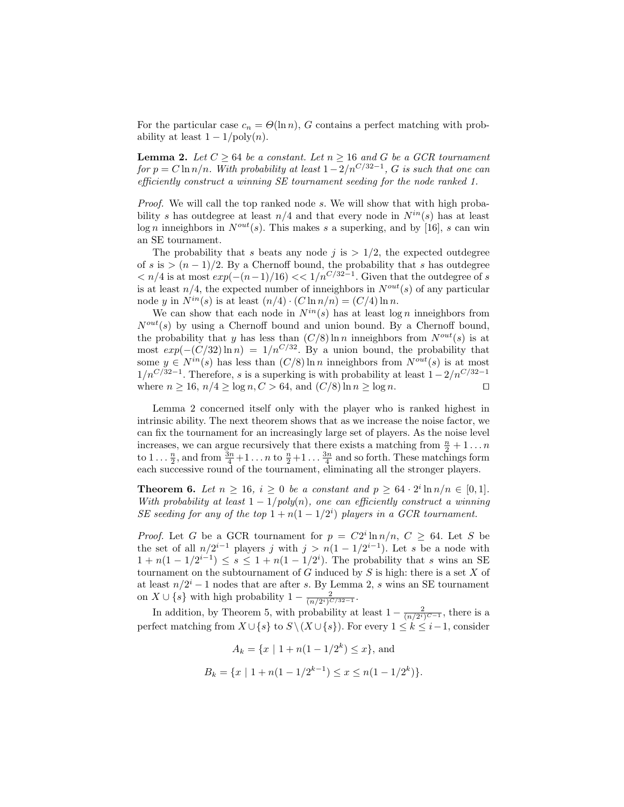For the particular case  $c_n = \Theta(\ln n)$ , G contains a perfect matching with probability at least  $1 - 1/\text{poly}(n)$ .

**Lemma 2.** Let  $C \geq 64$  be a constant. Let  $n \geq 16$  and G be a GCR tournament for  $p = C \ln n/n$ . With probability at least  $1 - 2/n^{C/32-1}$ , G is such that one can efficiently construct a winning SE tournament seeding for the node ranked 1.

Proof. We will call the top ranked node s. We will show that with high probability s has outdegree at least  $n/4$  and that every node in  $N^{in}(s)$  has at least  $\log n$  inneighbors in  $N^{out}(s)$ . This makes s a superking, and by [16], s can win an SE tournament.

The probability that s beats any node j is  $> 1/2$ , the expected outdegree of s is >  $(n-1)/2$ . By a Chernoff bound, the probability that s has outdegree  $\langle n/4 \rangle$  is at most  $exp(-(n-1)/16) \langle \langle 1/n^{C/32-1} \rangle$ . Given that the outdegree of s is at least  $n/4$ , the expected number of inneighbors in  $N^{out}(s)$  of any particular node y in  $N^{in}(s)$  is at least  $(n/4) \cdot (C \ln n/n) = (C/4) \ln n$ .

We can show that each node in  $N^{in}(s)$  has at least  $\log n$  inneighbors from  $N^{out}(s)$  by using a Chernoff bound and union bound. By a Chernoff bound, the probability that y has less than  $(C/8)$  ln n inneighbors from  $N^{out}(s)$  is at most  $exp(-(C/32) \ln n) = 1/n^{C/32}$ . By a union bound, the probability that some  $y \in N^{in}(s)$  has less than  $(C/8) \ln n$  inneighbors from  $N^{out}(s)$  is at most  $1/n^{C/32-1}$ . Therefore, s is a superking is with probability at least  $1-2/n^{C/32-1}$ where  $n \ge 16$ ,  $n/4 \ge \log n$ ,  $C > 64$ , and  $(C/8) \ln n \ge \log n$ .

Lemma 2 concerned itself only with the player who is ranked highest in intrinsic ability. The next theorem shows that as we increase the noise factor, we can fix the tournament for an increasingly large set of players. As the noise level increases, we can argue recursively that there exists a matching from  $\frac{n}{2} + 1 \ldots n$ to  $1 \ldots \frac{n}{2}$ , and from  $\frac{3n}{4} + 1 \ldots n$  to  $\frac{n}{2} + 1 \ldots \frac{3n}{4}$  and so forth. These matchings form each successive round of the tournament, eliminating all the stronger players.

**Theorem 6.** Let  $n \geq 16$ ,  $i \geq 0$  be a constant and  $p \geq 64 \cdot 2^i \ln n/n \in [0,1]$ . With probability at least  $1 - 1/poly(n)$ , one can efficiently construct a winning SE seeding for any of the top  $1 + n(1 - 1/2^i)$  players in a GCR tournament.

*Proof.* Let G be a GCR tournament for  $p = C2^i \ln n/n$ ,  $C \geq 64$ . Let S be the set of all  $n/2^{i-1}$  players j with  $j > n(1 - 1/2^{i-1})$ . Let s be a node with  $1 + n(1 - 1/2^{i-1}) \leq s \leq 1 + n(1 - 1/2^i)$ . The probability that s wins an SE tournament on the subtournament of  $G$  induced by  $S$  is high: there is a set  $X$  of at least  $n/2^{i} - 1$  nodes that are after s. By Lemma 2, s wins an SE tournament on  $X \cup \{s\}$  with high probability  $1 - \frac{2}{(n/2^i)^{C/32-1}}$ .

In addition, by Theorem 5, with probability at least  $1 - \frac{2}{(n/2^i)^{C-1}}$ , there is a perfect matching from  $X \cup \{s\}$  to  $S \setminus (X \cup \{s\})$ . For every  $1 \leq k \leq i-1$ , consider

$$
A_k = \{x \mid 1 + n(1 - 1/2^k) \le x\}, \text{ and}
$$
  

$$
B_k = \{x \mid 1 + n(1 - 1/2^{k-1}) \le x \le n(1 - 1/2^k)\}.
$$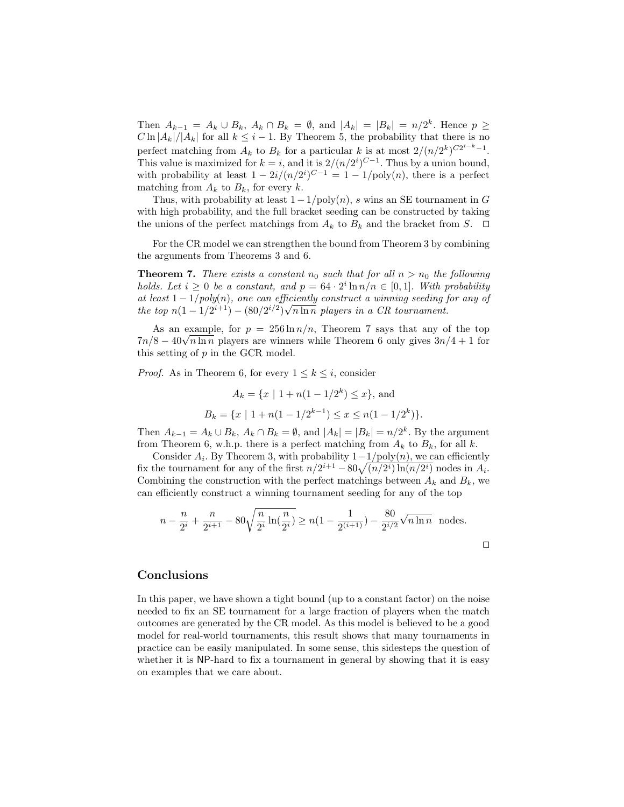Then  $A_{k-1} = A_k \cup B_k$ ,  $A_k \cap B_k = \emptyset$ , and  $|A_k| = |B_k| = n/2^k$ . Hence  $p \ge$  $C \ln |A_k|/|A_k|$  for all  $k \leq i-1$ . By Theorem 5, the probability that there is no perfect matching from  $A_k$  to  $B_k$  for a particular k is at most  $2/(n/2^k)^{C2^{i-k}-1}$ . This value is maximized for  $k = i$ , and it is  $2/(n/2^i)^{C-1}$ . Thus by a union bound, with probability at least  $1 - 2i/(n/2^i)^{C-1} = 1 - 1/\text{poly}(n)$ , there is a perfect matching from  $A_k$  to  $B_k$ , for every k.

Thus, with probability at least  $1 - 1/\text{poly}(n)$ , s wins an SE tournament in G with high probability, and the full bracket seeding can be constructed by taking the unions of the perfect matchings from  $A_k$  to  $B_k$  and the bracket from S.  $\Box$ 

For the CR model we can strengthen the bound from Theorem 3 by combining the arguments from Theorems 3 and 6.

**Theorem 7.** There exists a constant  $n_0$  such that for all  $n > n_0$  the following holds. Let  $i \geq 0$  be a constant, and  $p = 64 \cdot 2^i \ln n/n \in [0,1]$ . With probability at least  $1 - 1/poly(n)$ , one can efficiently construct a winning seeding for any of the top  $n(1-1/2^{i+1}) - (80/2^{i/2})\sqrt{n \ln n}$  players in a CR tournament.

As an example, for  $p = 256 \ln n/n$ , Theorem 7 says that any of the top  $7n/8 - 40\sqrt{n \ln n}$  players are winners while Theorem 6 only gives  $3n/4 + 1$  for this setting of  $p$  in the GCR model.

*Proof.* As in Theorem 6, for every  $1 \leq k \leq i$ , consider

$$
A_k = \{x \mid 1 + n(1 - 1/2^k) \le x\}, \text{ and}
$$
  

$$
B_k = \{x \mid 1 + n(1 - 1/2^{k-1}) \le x \le n(1 - 1/2^k)\}.
$$

Then  $A_{k-1} = A_k \cup B_k$ ,  $A_k \cap B_k = \emptyset$ , and  $|A_k| = |B_k| = n/2^k$ . By the argument from Theorem 6, w.h.p. there is a perfect matching from  $A_k$  to  $B_k$ , for all k.

Consider  $A_i$ . By Theorem 3, with probability  $1-\frac{1}{p}$ oly $(n)$ , we can efficiently fix the tournament for any of the first  $n/2^{i+1} - 80\sqrt{(n/2^i)\ln(n/2^i)}$  nodes in  $A_i$ . Combining the construction with the perfect matchings between  $A_k$  and  $B_k$ , we can efficiently construct a winning tournament seeding for any of the top

$$
n - \frac{n}{2^i} + \frac{n}{2^{i+1}} - 80\sqrt{\frac{n}{2^i}\ln(\frac{n}{2^i})} \ge n(1 - \frac{1}{2^{i+1}}) - \frac{80}{2^{i/2}}\sqrt{n\ln n} \text{ nodes.}
$$

 $\Box$ 

#### Conclusions

In this paper, we have shown a tight bound (up to a constant factor) on the noise needed to fix an SE tournament for a large fraction of players when the match outcomes are generated by the CR model. As this model is believed to be a good model for real-world tournaments, this result shows that many tournaments in practice can be easily manipulated. In some sense, this sidesteps the question of whether it is NP-hard to fix a tournament in general by showing that it is easy on examples that we care about.